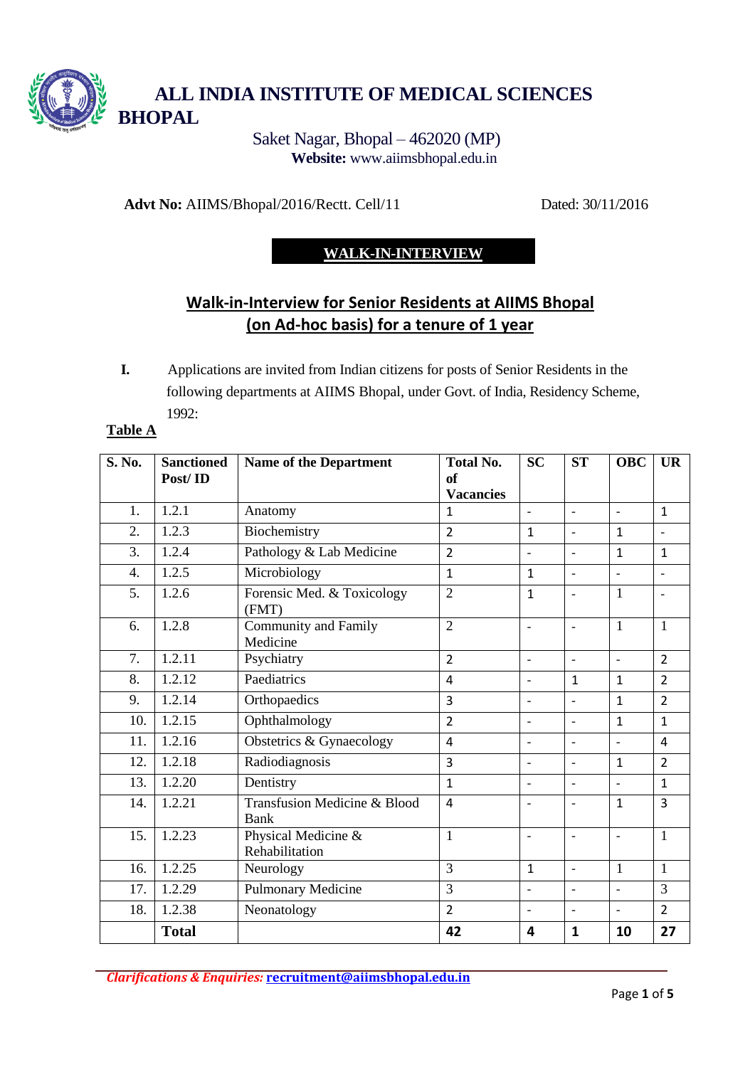

Saket Nagar, Bhopal – 462020 (MP) **Website:** [www.aiimsbhopal.edu.in](http://www.aiimsbhopal.edu.in/) 

**Advt No:** AIIMS/Bhopal/2016/Rectt. Cell/11 Dated: 30/11/2016

# **WALK-IN-INTERVIEW**

# **Walk-in-Interview for Senior Residents at AIIMS Bhopal (on Ad-hoc basis) for a tenure of 1 year**

**I.** Applications are invited from Indian citizens for posts of Senior Residents in the following departments at AIIMS Bhopal, under Govt. of India, Residency Scheme, 1992:

#### **Table A**

| S. No. | <b>Sanctioned</b><br>Post/ID | <b>Name of the Department</b>           | <b>Total No.</b><br><sub>of</sub><br><b>Vacancies</b> | <b>SC</b>                | <b>ST</b>                | <b>OBC</b>               | <b>UR</b>                |
|--------|------------------------------|-----------------------------------------|-------------------------------------------------------|--------------------------|--------------------------|--------------------------|--------------------------|
| 1.     | 1.2.1                        | Anatomy                                 | $\mathbf{1}$                                          | $\frac{1}{2}$            | $\overline{\phantom{m}}$ | $\blacksquare$           | $\mathbf{1}$             |
| 2.     | 1.2.3                        | Biochemistry                            | $\overline{2}$                                        | $\mathbf{1}$             | $\overline{\phantom{a}}$ | $\mathbf{1}$             | $\overline{\phantom{a}}$ |
| 3.     | 1.2.4                        | Pathology & Lab Medicine                | $\overline{2}$                                        | $\overline{\phantom{0}}$ | $\overline{\phantom{a}}$ | $\mathbf{1}$             | $\mathbf{1}$             |
| 4.     | 1.2.5                        | Microbiology                            | 1                                                     | $\mathbf{1}$             | $\overline{\phantom{a}}$ | $\overline{\phantom{a}}$ | $\overline{a}$           |
| 5.     | 1.2.6                        | Forensic Med. & Toxicology<br>(FMT)     | $\overline{2}$                                        | $\mathbf{1}$             | $\overline{a}$           | $\mathbf{1}$             |                          |
| 6.     | 1.2.8                        | <b>Community and Family</b><br>Medicine | $\overline{2}$                                        | $\overline{\phantom{0}}$ | $\overline{\phantom{a}}$ | $\mathbf{1}$             | $\mathbf{1}$             |
| 7.     | 1.2.11                       | Psychiatry                              | $\overline{2}$                                        | $\overline{\phantom{a}}$ | $\overline{\phantom{a}}$ | $\overline{\phantom{a}}$ | $\overline{2}$           |
| 8.     | 1.2.12                       | Paediatrics                             | $\overline{4}$                                        | $\overline{\phantom{a}}$ | $\mathbf{1}$             | $\mathbf{1}$             | $\overline{2}$           |
| 9.     | 1.2.14                       | Orthopaedics                            | 3                                                     | $\overline{a}$           | $\overline{a}$           | $\mathbf{1}$             | $\overline{2}$           |
| 10.    | 1.2.15                       | Ophthalmology                           | $\overline{2}$                                        | $\overline{\phantom{a}}$ | $\overline{\phantom{a}}$ | $\mathbf{1}$             | $\mathbf{1}$             |
| 11.    | 1.2.16                       | Obstetrics & Gynaecology                | $\overline{4}$                                        | $\overline{\phantom{a}}$ | $\overline{\phantom{a}}$ | $\overline{a}$           | $\overline{4}$           |
| 12.    | 1.2.18                       | Radiodiagnosis                          | 3                                                     | $\qquad \qquad -$        | $\qquad \qquad -$        | $\mathbf{1}$             | $\overline{2}$           |
| 13.    | 1.2.20                       | Dentistry                               | $\mathbf{1}$                                          | $\qquad \qquad -$        | $\overline{\phantom{a}}$ | $\overline{\phantom{a}}$ | $\mathbf{1}$             |
| 14.    | 1.2.21                       | Transfusion Medicine & Blood<br>Bank    | $\overline{4}$                                        | $\overline{\phantom{a}}$ | $\overline{\phantom{a}}$ | $\mathbf{1}$             | 3                        |
| 15.    | 1.2.23                       | Physical Medicine &<br>Rehabilitation   | $\mathbf{1}$                                          | $\qquad \qquad -$        | $\qquad \qquad -$        | $\overline{\phantom{a}}$ | $\mathbf{1}$             |
| 16.    | 1.2.25                       | Neurology                               | 3                                                     | $\mathbf{1}$             | $\overline{\phantom{a}}$ | $\mathbf{1}$             | $\mathbf{1}$             |
| 17.    | 1.2.29                       | Pulmonary Medicine                      | 3                                                     | $\overline{\phantom{a}}$ | $\overline{\phantom{a}}$ | $\overline{\phantom{a}}$ | 3                        |
| 18.    | 1.2.38                       | Neonatology                             | $\overline{2}$                                        | $\frac{1}{2}$            | $\overline{a}$           | $\overline{\phantom{a}}$ | $\overline{2}$           |
|        | <b>Total</b>                 |                                         | 42                                                    | 4                        | 1                        | 10                       | 27                       |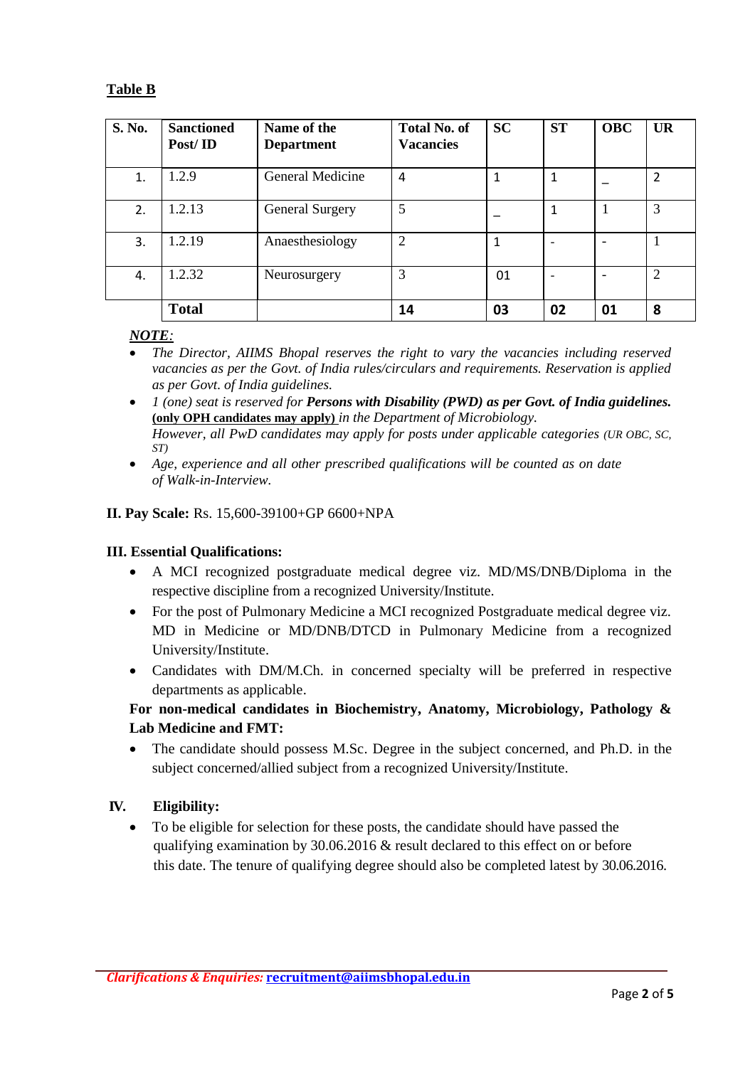## **Table B**

| S. No. | <b>Sanctioned</b><br>Post/ID | Name of the<br><b>Department</b> | <b>Total No. of</b><br><b>Vacancies</b> | <b>SC</b> | <b>ST</b> | <b>OBC</b> | <b>UR</b>      |
|--------|------------------------------|----------------------------------|-----------------------------------------|-----------|-----------|------------|----------------|
| 1.     | 1.2.9                        | General Medicine                 | 4                                       |           |           |            | $\overline{2}$ |
| 2.     | 1.2.13                       | <b>General Surgery</b>           | 5                                       |           |           |            | 3              |
| 3.     | 1.2.19                       | Anaesthesiology                  | 2                                       | 1         |           |            |                |
| 4.     | 1.2.32                       | Neurosurgery                     | 3                                       | 01        |           |            | $\overline{2}$ |
|        | <b>Total</b>                 |                                  | 14                                      | 03        | 02        | 01         | 8              |

#### *NOTE:*

- *The Director, AIIMS Bhopal reserves the right to vary the vacancies including reserved vacancies as per the Govt. of India rules/circulars and requirements. Reservation is applied as per Govt. of India guidelines.*
- *1 (one) seat is reserved for Persons with Disability (PWD) as per Govt. of India guidelines.* **(only OPH candidates may apply)** *in the Department of Microbiology. However, all PwD candidates may apply for posts under applicable categories (UR OBC, SC, ST)*
- *Age, experience and all other prescribed qualifications will be counted as on date of Walk-in-Interview.*

#### **II. Pay Scale:** Rs. 15,600-39100+GP 6600+NPA

#### **III. Essential Qualifications:**

- A MCI recognized postgraduate medical degree viz. MD/MS/DNB/Diploma in the respective discipline from a recognized University/Institute.
- For the post of Pulmonary Medicine a MCI recognized Postgraduate medical degree viz. MD in Medicine or MD/DNB/DTCD in Pulmonary Medicine from a recognized University/Institute.
- Candidates with DM/M.Ch. in concerned specialty will be preferred in respective departments as applicable.

#### **For non-medical candidates in Biochemistry, Anatomy, Microbiology, Pathology & Lab Medicine and FMT:**

• The candidate should possess M.Sc. Degree in the subject concerned, and Ph.D. in the subject concerned/allied subject from a recognized University/Institute.

#### **IV. Eligibility:**

 To be eligible for selection for these posts, the candidate should have passed the qualifying examination by 30.06.2016 & result declared to this effect on or before this date. The tenure of qualifying degree should also be completed latest by 30.06.2016.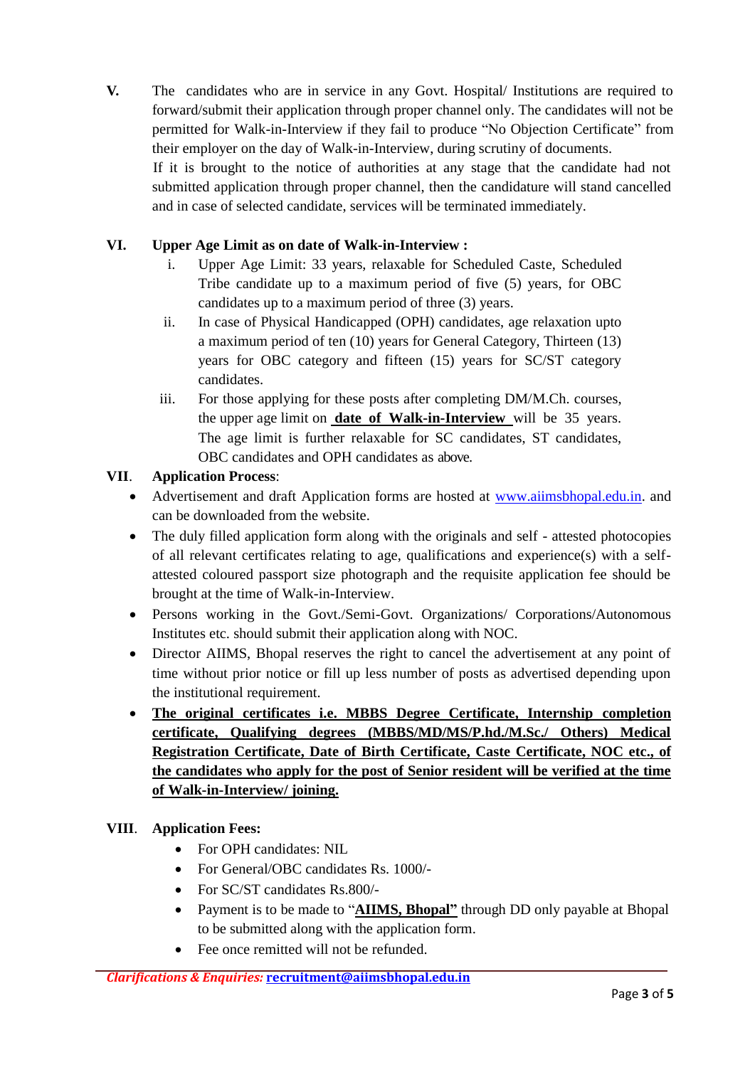**V.** The candidates who are in service in any Govt. Hospital/ Institutions are required to forward/submit their application through proper channel only. The candidates will not be permitted for Walk-in-Interview if they fail to produce "No Objection Certificate" from their employer on the day of Walk-in-Interview, during scrutiny of documents.

If it is brought to the notice of authorities at any stage that the candidate had not submitted application through proper channel, then the candidature will stand cancelled and in case of selected candidate, services will be terminated immediately.

# **VI. Upper Age Limit as on date of Walk-in-Interview :**

- i. Upper Age Limit: 33 years, relaxable for Scheduled Caste, Scheduled Tribe candidate up to a maximum period of five (5) years, for OBC candidates up to a maximum period of three (3) years.
- ii. In case of Physical Handicapped (OPH) candidates, age relaxation upto a maximum period of ten (10) years for General Category, Thirteen (13) years for OBC category and fifteen (15) years for SC/ST category candidates.
- iii. For those applying for these posts after completing DM/M.Ch. courses, the upper age limit on **date of Walk-in-Interview** will be 35 years. The age limit is further relaxable for SC candidates, ST candidates, OBC candidates and OPH candidates as above.

# **VII**. **Application Process**:

- Advertisement and draft Application forms are hosted at [www.aiimsbhopal.edu.in.](http://www.aiimsbhopal.edu.in/) and can be downloaded from the website.
- The duly filled application form along with the originals and self attested photocopies of all relevant certificates relating to age, qualifications and experience(s) with a selfattested coloured passport size photograph and the requisite application fee should be brought at the time of Walk-in-Interview.
- Persons working in the Govt./Semi-Govt. Organizations/ Corporations/Autonomous Institutes etc. should submit their application along with NOC.
- Director AIIMS, Bhopal reserves the right to cancel the advertisement at any point of time without prior notice or fill up less number of posts as advertised depending upon the institutional requirement.
- **The original certificates i.e. MBBS Degree Certificate, Internship completion certificate, Qualifying degrees (MBBS/MD/MS/P.hd./M.Sc./ Others) Medical Registration Certificate, Date of Birth Certificate, Caste Certificate, NOC etc., of the candidates who apply for the post of Senior resident will be verified at the time of Walk-in-Interview/ joining.**

## **VIII**. **Application Fees:**

- For OPH candidates: NIL
- For General/OBC candidates Rs. 1000/-
- For SC/ST candidates Rs.800/-
- Payment is to be made to "**AIIMS, Bhopal"** through DD only payable at Bhopal to be submitted along with the application form.
- Fee once remitted will not be refunded.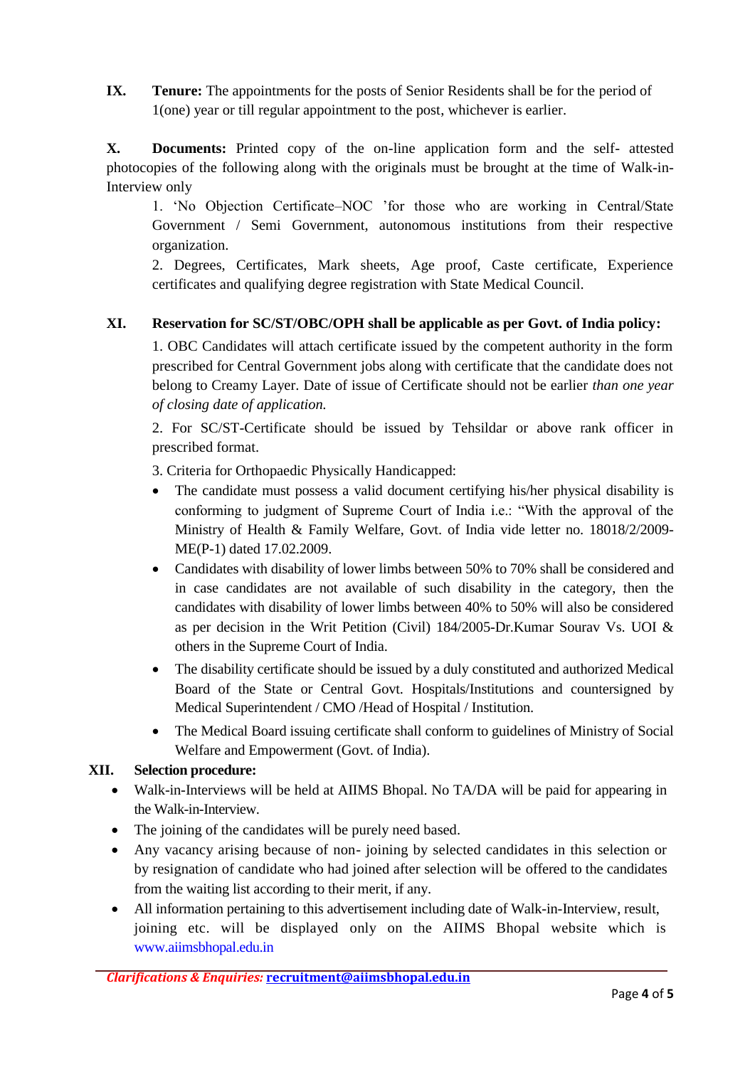**IX.** Tenure: The appointments for the posts of Senior Residents shall be for the period of 1(one) year or till regular appointment to the post, whichever is earlier.

**X. Documents:** Printed copy of the on-line application form and the self- attested photocopies of the following along with the originals must be brought at the time of Walk-in-Interview only

1. 'No Objection Certificate–NOC 'for those who are working in Central/State Government / Semi Government, autonomous institutions from their respective organization.

2. Degrees, Certificates, Mark sheets, Age proof, Caste certificate, Experience certificates and qualifying degree registration with State Medical Council.

#### **XI. Reservation for SC/ST/OBC/OPH shall be applicable as per Govt. of India policy:**

1. OBC Candidates will attach certificate issued by the competent authority in the form prescribed for Central Government jobs along with certificate that the candidate does not belong to Creamy Layer. Date of issue of Certificate should not be earlier *than one year of closing date of application.* 

2. For SC/ST-Certificate should be issued by Tehsildar or above rank officer in prescribed format.

3. Criteria for Orthopaedic Physically Handicapped:

- The candidate must possess a valid document certifying his/her physical disability is conforming to judgment of Supreme Court of India i.e.: "With the approval of the Ministry of Health & Family Welfare, Govt. of India vide letter no. 18018/2/2009- ME(P-1) dated 17.02.2009.
- Candidates with disability of lower limbs between 50% to 70% shall be considered and in case candidates are not available of such disability in the category, then the candidates with disability of lower limbs between 40% to 50% will also be considered as per decision in the Writ Petition (Civil) 184/2005-Dr.Kumar Sourav Vs. UOI & others in the Supreme Court of India.
- The disability certificate should be issued by a duly constituted and authorized Medical Board of the State or Central Govt. Hospitals/Institutions and countersigned by Medical Superintendent / CMO /Head of Hospital / Institution.
- The Medical Board issuing certificate shall conform to guidelines of Ministry of Social Welfare and Empowerment (Govt. of India).

#### **XII. Selection procedure:**

- Walk-in-Interviews will be held at AIIMS Bhopal. No TA/DA will be paid for appearing in the Walk-in-Interview.
- The joining of the candidates will be purely need based.
- Any vacancy arising because of non- joining by selected candidates in this selection or by resignation of candidate who had joined after selection will be offered to the candidates from the waiting list according to their merit, if any.
- All information pertaining to this advertisement including date of Walk-in-Interview, result, joining etc. will be displayed only on the AIIMS Bhopal website which is [www.aiimsbhopal.edu.in](http://www.aiimsbhopal.edu.in/)